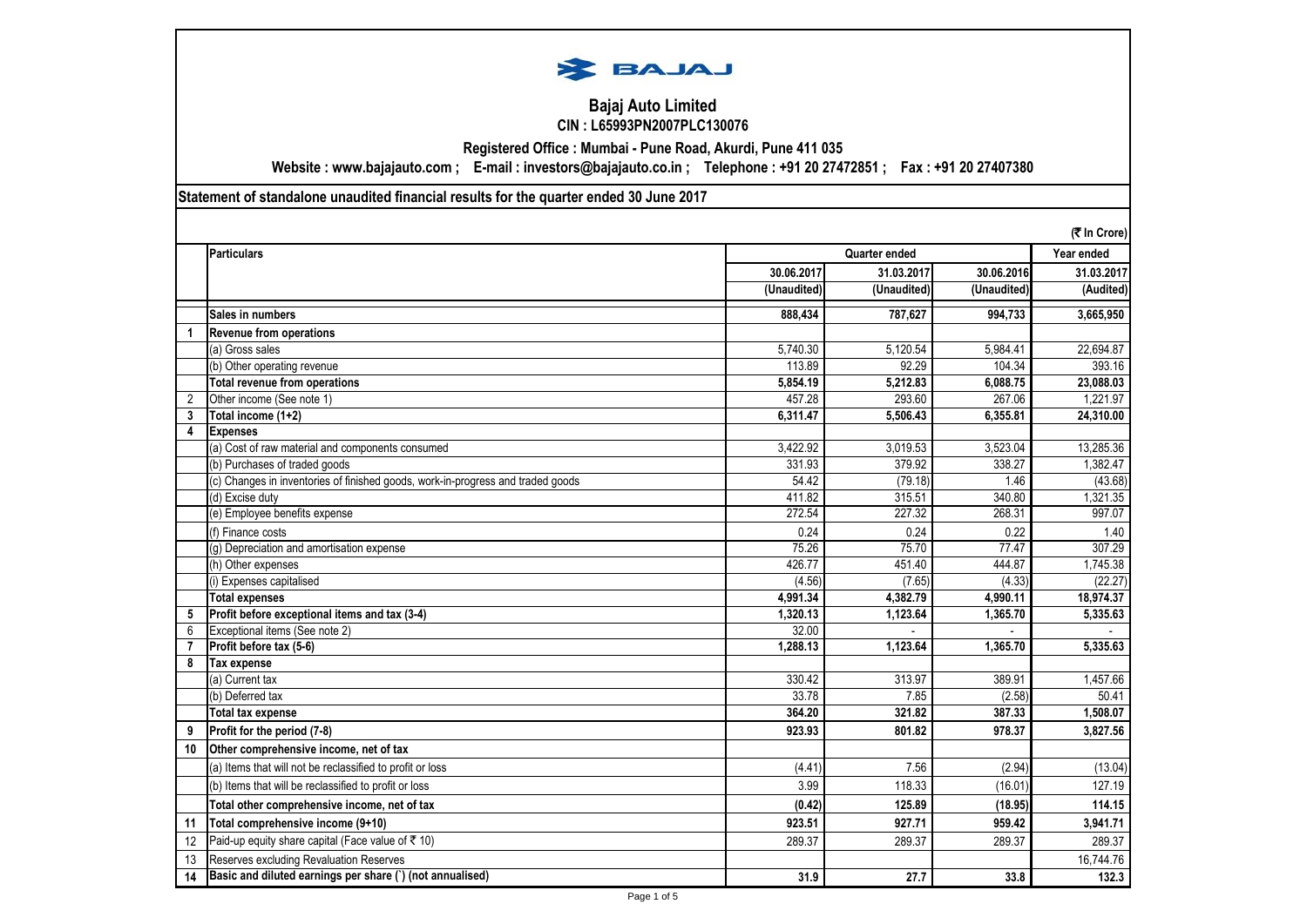

## **Bajaj Auto Limited CIN : L65993PN2007PLC130076**

**Registered Office : Mumbai - Pune Road, Akurdi, Pune 411 035**

**Website : www.bajajauto.com ; E-mail : investors@bajajauto.co.in ; Telephone : +91 20 27472851 ; Fax : +91 20 27407380**

**Statement of standalone unaudited financial results for the quarter ended 30 June 2017**

|                | (そ In Crore)                                                                    |             |               |             |            |
|----------------|---------------------------------------------------------------------------------|-------------|---------------|-------------|------------|
|                | <b>Particulars</b>                                                              |             | Quarter ended |             |            |
|                |                                                                                 | 30.06.2017  | 31.03.2017    | 30.06.2016  | 31.03.2017 |
|                |                                                                                 | (Unaudited) | (Unaudited)   | (Unaudited) | (Audited)  |
|                | Sales in numbers                                                                | 888,434     | 787,627       | 994,733     | 3,665,950  |
|                | <b>Revenue from operations</b>                                                  |             |               |             |            |
|                | (a) Gross sales                                                                 | 5,740.30    | 5,120.54      | 5,984.41    | 22,694.87  |
|                | (b) Other operating revenue                                                     | 113.89      | 92.29         | 104.34      | 393.16     |
|                | Total revenue from operations                                                   | 5,854.19    | 5,212.83      | 6,088.75    | 23,088.03  |
| 2              | Other income (See note 1)                                                       | 457.28      | 293.60        | 267.06      | 1,221.97   |
| 3              | Total income (1+2)                                                              | 6,311.47    | 5.506.43      | 6.355.81    | 24,310.00  |
| 4              | <b>Expenses</b>                                                                 |             |               |             |            |
|                | (a) Cost of raw material and components consumed                                | 3,422.92    | 3,019.53      | 3,523.04    | 13,285.36  |
|                | (b) Purchases of traded goods                                                   | 331.93      | 379.92        | 338.27      | 1,382.47   |
|                | (c) Changes in inventories of finished goods, work-in-progress and traded goods | 54.42       | (79.18)       | 1.46        | (43.68)    |
|                | (d) Excise duty                                                                 | 411.82      | 315.51        | 340.80      | 1,321.35   |
|                | (e) Employee benefits expense                                                   | 272.54      | 227.32        | 268.31      | 997.07     |
|                | (f) Finance costs                                                               | 0.24        | 0.24          | 0.22        | 1.40       |
|                | (g) Depreciation and amortisation expense                                       | 75.26       | 75.70         | 77.47       | 307.29     |
|                | (h) Other expenses                                                              | 426.77      | 451.40        | 444.87      | 1,745.38   |
|                | (i) Expenses capitalised                                                        | (4.56)      | (7.65)        | (4.33)      | (22.27)    |
|                | <b>Total expenses</b>                                                           | 4,991.34    | 4,382.79      | 4,990.11    | 18,974.37  |
| 5              | Profit before exceptional items and tax (3-4)                                   | 1.320.13    | 1,123.64      | 1.365.70    | 5,335.63   |
| 6              | Exceptional items (See note 2)                                                  | 32.00       |               |             |            |
| $\overline{7}$ | Profit before tax (5-6)                                                         | 1,288.13    | 1,123.64      | 1,365.70    | 5,335.63   |
| 8              | Tax expense                                                                     |             |               |             |            |
|                | (a) Current tax                                                                 | 330.42      | 313.97        | 389.91      | 1,457.66   |
|                | (b) Deferred tax                                                                | 33.78       | 7.85          | (2.58)      | 50.41      |
|                | <b>Total tax expense</b>                                                        | 364.20      | 321.82        | 387.33      | 1,508.07   |
| 9              | Profit for the period (7-8)                                                     | 923.93      | 801.82        | 978.37      | 3.827.56   |
| 10             | Other comprehensive income, net of tax                                          |             |               |             |            |
|                | (a) Items that will not be reclassified to profit or loss                       | (4.41)      | 7.56          | (2.94)      | (13.04)    |
|                | (b) Items that will be reclassified to profit or loss                           | 3.99        | 118.33        | (16.01)     | 127.19     |
|                | Total other comprehensive income, net of tax                                    | (0.42)      | 125.89        | (18.95)     | 114.15     |
| 11             | Total comprehensive income (9+10)                                               | 923.51      | 927.71        | 959.42      | 3,941.71   |
| 12             | Paid-up equity share capital (Face value of ₹ 10)                               | 289.37      | 289.37        | 289.37      | 289.37     |
| 13             | Reserves excluding Revaluation Reserves                                         |             |               |             | 16,744.76  |
| 14             | Basic and diluted earnings per share (') (not annualised)                       | 31.9        | 27.7          | 33.8        | 132.3      |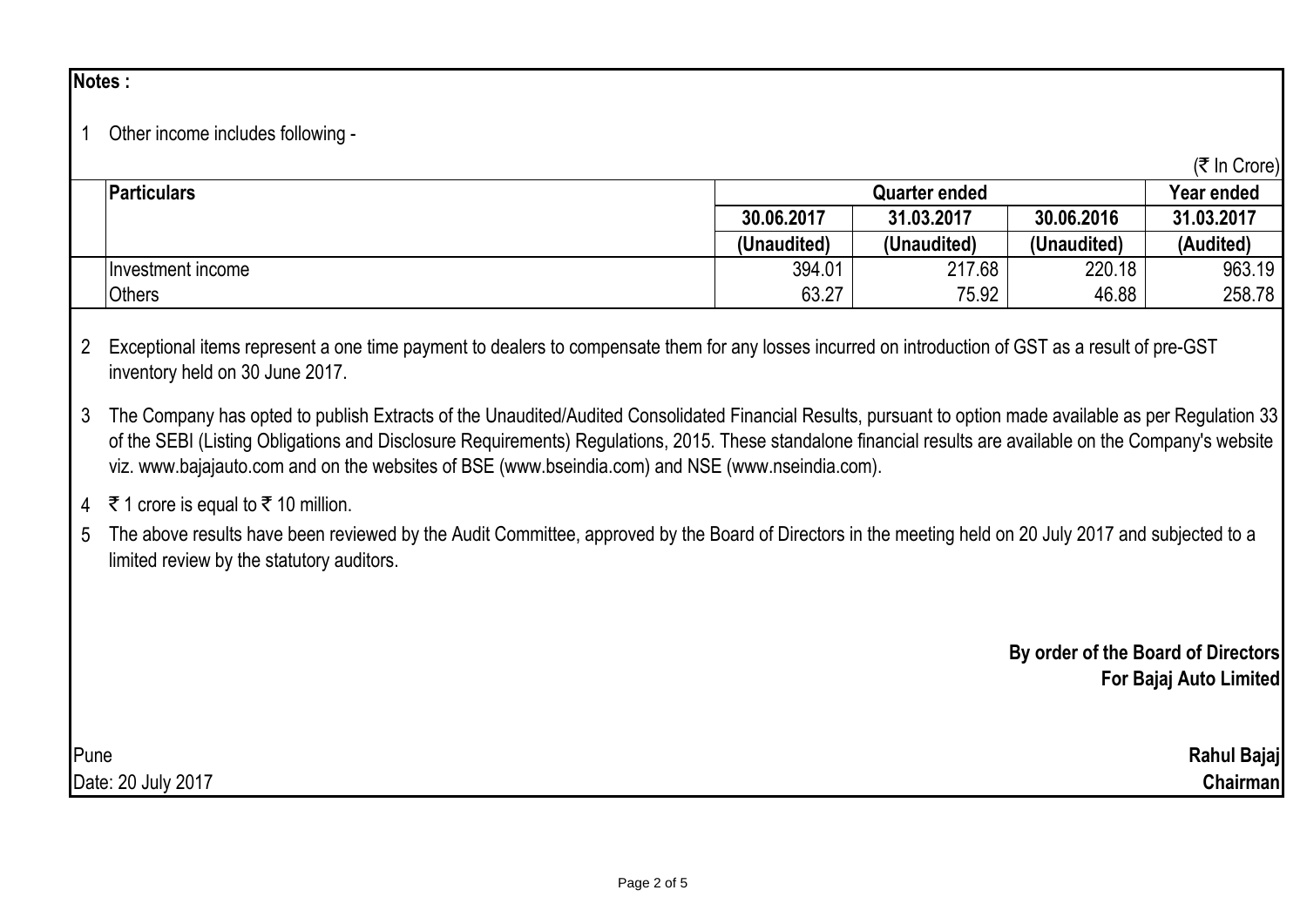## **Notes :**

1 Other income includes following -

| <b>Particulars</b> | <b>Quarter ended</b> |             |             | Year ended |
|--------------------|----------------------|-------------|-------------|------------|
|                    | 30.06.2017           | 31.03.2017  | 30.06.2016  | 31.03.2017 |
|                    | (Unaudited)          | (Unaudited) | (Unaudited) | (Audited)  |
| Investment income  | 394.01               | 217.68      | 220.18      | 963.19     |
| Others             | 63.27                | 75.92       | 46.88       | 258.78     |

- 2 Exceptional items represent a one time payment to dealers to compensate them for any losses incurred on introduction of GST as a result of pre-GST inventory held on 30 June 2017.
- 3 The Company has opted to publish Extracts of the Unaudited/Audited Consolidated Financial Results, pursuant to option made available as per Regulation 33 of the SEBI (Listing Obligations and Disclosure Requirements) Regulations, 2015. These standalone financial results are available on the Company's website viz. www.bajajauto.com and on the websites of BSE (www.bseindia.com) and NSE (www.nseindia.com).
- 4 ₹ 1 crore is equal to  $\bar{\tau}$  10 million.
- 5 The above results have been reviewed by the Audit Committee, approved by the Board of Directors in the meeting held on 20 July 2017 and subjected to a limited review by the statutory auditors.

**By order of the Board of Directors For Bajaj Auto Limited**

Pune **Rahul Bajaj** Date: 20 July 2017 **Chairman**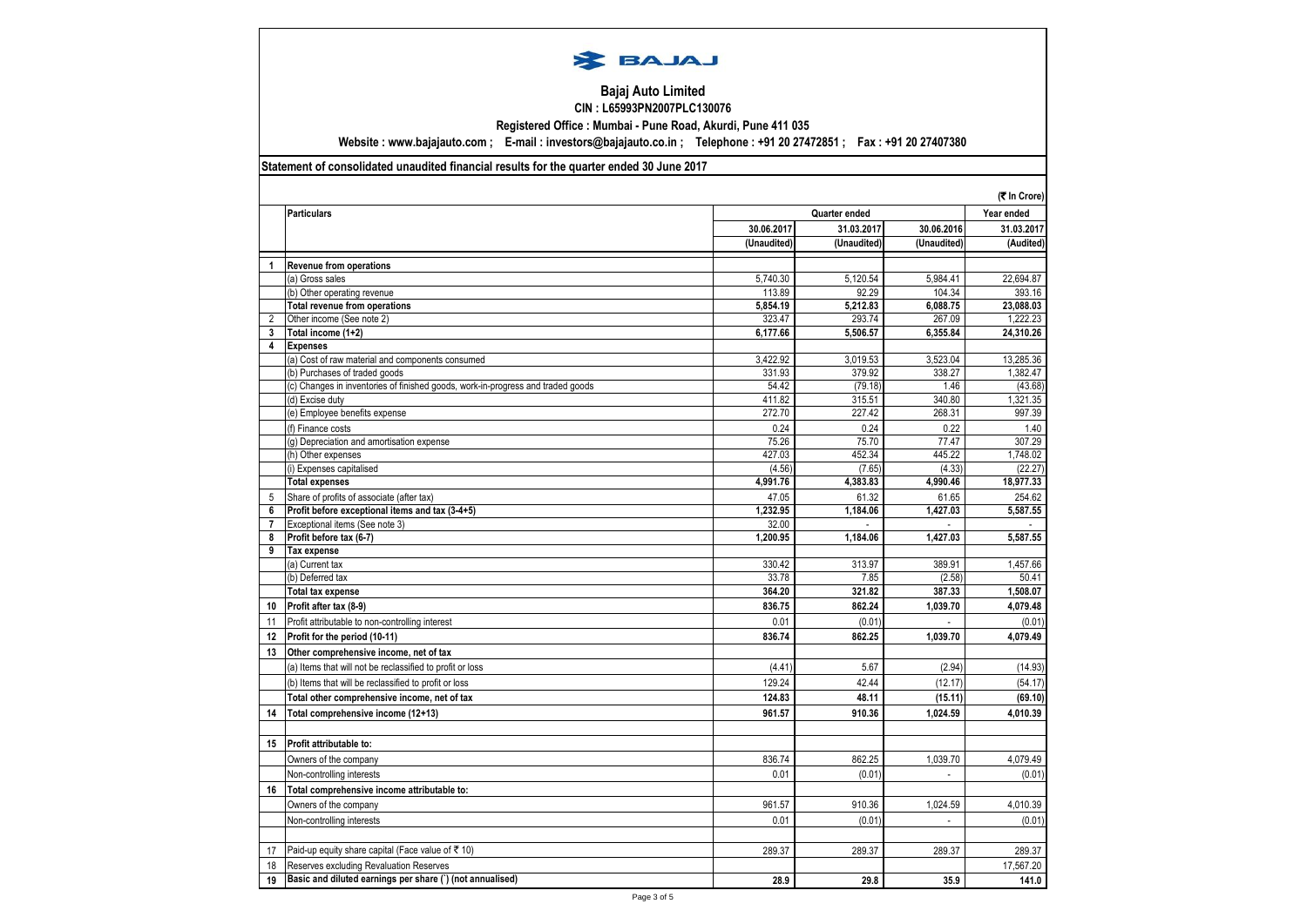

## **Bajaj Auto Limited CIN : L65993PN2007PLC130076**

**Registered Office : Mumbai - Pune Road, Akurdi, Pune 411 035**

**Website : www.bajajauto.com ; E-mail : investors@bajajauto.co.in ; Telephone : +91 20 27472851 ; Fax : +91 20 27407380**

## **Statement of consolidated unaudited financial results for the quarter ended 30 June 2017**

|                     |                                                                                 |                   |               |             | (₹ In Crore)         |
|---------------------|---------------------------------------------------------------------------------|-------------------|---------------|-------------|----------------------|
|                     | <b>Particulars</b>                                                              |                   | Quarter ended |             |                      |
|                     |                                                                                 | 30.06.2017        | 31.03.2017    | 30.06.2016  | 31.03.2017           |
|                     |                                                                                 | (Unaudited)       | (Unaudited)   | (Unaudited) | (Audited)            |
| $\mathbf{1}$        | <b>Revenue from operations</b>                                                  |                   |               |             |                      |
|                     | (a) Gross sales                                                                 | 5,740.30          | 5,120.54      | 5,984.41    | 22,694.87            |
|                     | (b) Other operating revenue                                                     | 113.89            | 92.29         | 104.34      | 393.16               |
|                     | <b>Total revenue from operations</b>                                            | 5,854.19          | 5,212.83      | 6,088.75    | 23.088.03            |
| $\overline{2}$      | Other income (See note 2)                                                       | 323.47            | 293.74        | 267.09      | 1,222.23             |
| 3                   | Total income (1+2)                                                              | 6,177.66          | 5.506.57      | 6,355.84    | 24,310.26            |
| 4                   | <b>Expenses</b>                                                                 |                   |               |             |                      |
|                     | (a) Cost of raw material and components consumed                                | 3,422.92          | 3,019.53      | 3,523.04    | 13,285.36            |
|                     | (b) Purchases of traded goods                                                   | 331.93            | 379.92        | 338.27      | 1,382.47             |
|                     | (c) Changes in inventories of finished goods, work-in-progress and traded goods | 54.42             | (79.18)       | 1.46        | (43.68)              |
|                     | (d) Excise duty                                                                 | 411.82            | 315.51        | 340.80      | 1,321.35             |
|                     | (e) Employee benefits expense                                                   | 272.70            | 227.42        | 268.31      | 997.39               |
|                     | (f) Finance costs                                                               | 0.24              | 0.24          | 0.22        | 1.40                 |
|                     | (q) Depreciation and amortisation expense                                       | 75.26             | 75.70         | 77.47       | 307.29               |
|                     | (h) Other expenses                                                              | 427.03            | 452.34        | 445.22      | 1,748.02             |
|                     | (i) Expenses capitalised                                                        | (4.56)            | (7.65)        | (4.33)      | (22.27)<br>18,977.33 |
|                     | <b>Total expenses</b>                                                           | 4,991.76          | 4,383.83      | 4,990.46    |                      |
| 5                   | Share of profits of associate (after tax)                                       | 47.05             | 61.32         | 61.65       | 254.62               |
| 6                   | Profit before exceptional items and tax (3-4+5)                                 | 1,232.95          | 1,184.06      | 1,427.03    | 5,587.55             |
| $\overline{7}$<br>8 | Exceptional items (See note 3)                                                  | 32.00<br>1,200.95 | 1,184.06      | 1,427.03    | 5,587.55             |
| 9                   | Profit before tax (6-7)<br><b>Tax expense</b>                                   |                   |               |             |                      |
|                     | (a) Current tax                                                                 | 330.42            | 313.97        | 389.91      | 1,457.66             |
|                     | (b) Deferred tax                                                                | 33.78             | 7.85          | (2.58)      | 50.41                |
|                     | <b>Total tax expense</b>                                                        | 364.20            | 321.82        | 387.33      | 1,508.07             |
| 10                  | Profit after tax (8-9)                                                          | 836.75            | 862.24        | 1,039.70    | 4,079.48             |
| 11                  | Profit attributable to non-controlling interest                                 | 0.01              | (0.01)        |             | (0.01)               |
| 12                  | Profit for the period (10-11)                                                   | 836.74            | 862.25        | 1,039.70    | 4,079.49             |
| 13                  | Other comprehensive income, net of tax                                          |                   |               |             |                      |
|                     | (a) Items that will not be reclassified to profit or loss                       | (4.41)            | 5.67          | (2.94)      | (14.93)              |
|                     | (b) Items that will be reclassified to profit or loss                           | 129.24            | 42.44         | (12.17)     | (54.17)              |
|                     | Total other comprehensive income, net of tax                                    | 124.83            | 48.11         | (15.11)     | (69.10)              |
|                     |                                                                                 | 961.57            | 910.36        | 1,024.59    | 4,010.39             |
| 14                  | Total comprehensive income (12+13)                                              |                   |               |             |                      |
|                     |                                                                                 |                   |               |             |                      |
| 15                  | Profit attributable to:                                                         |                   |               |             |                      |
|                     | Owners of the company                                                           | 836.74            | 862.25        | 1,039.70    | 4,079.49             |
|                     | Non-controlling interests                                                       | 0.01              | (0.01)        |             | (0.01)               |
| 16                  | Total comprehensive income attributable to:                                     |                   |               |             |                      |
|                     | Owners of the company                                                           | 961.57            | 910.36        | 1.024.59    | 4,010.39             |
|                     | Non-controlling interests                                                       | 0.01              | (0.01)        |             | (0.01)               |
|                     |                                                                                 |                   |               |             |                      |
| 17                  | Paid-up equity share capital (Face value of ₹10)                                | 289.37            | 289.37        | 289.37      | 289.37               |
| 18                  | Reserves excluding Revaluation Reserves                                         |                   |               |             | 17,567.20            |
| 19                  | Basic and diluted earnings per share () (not annualised)                        | 28.9              | 29.8          | 35.9        | 141.0                |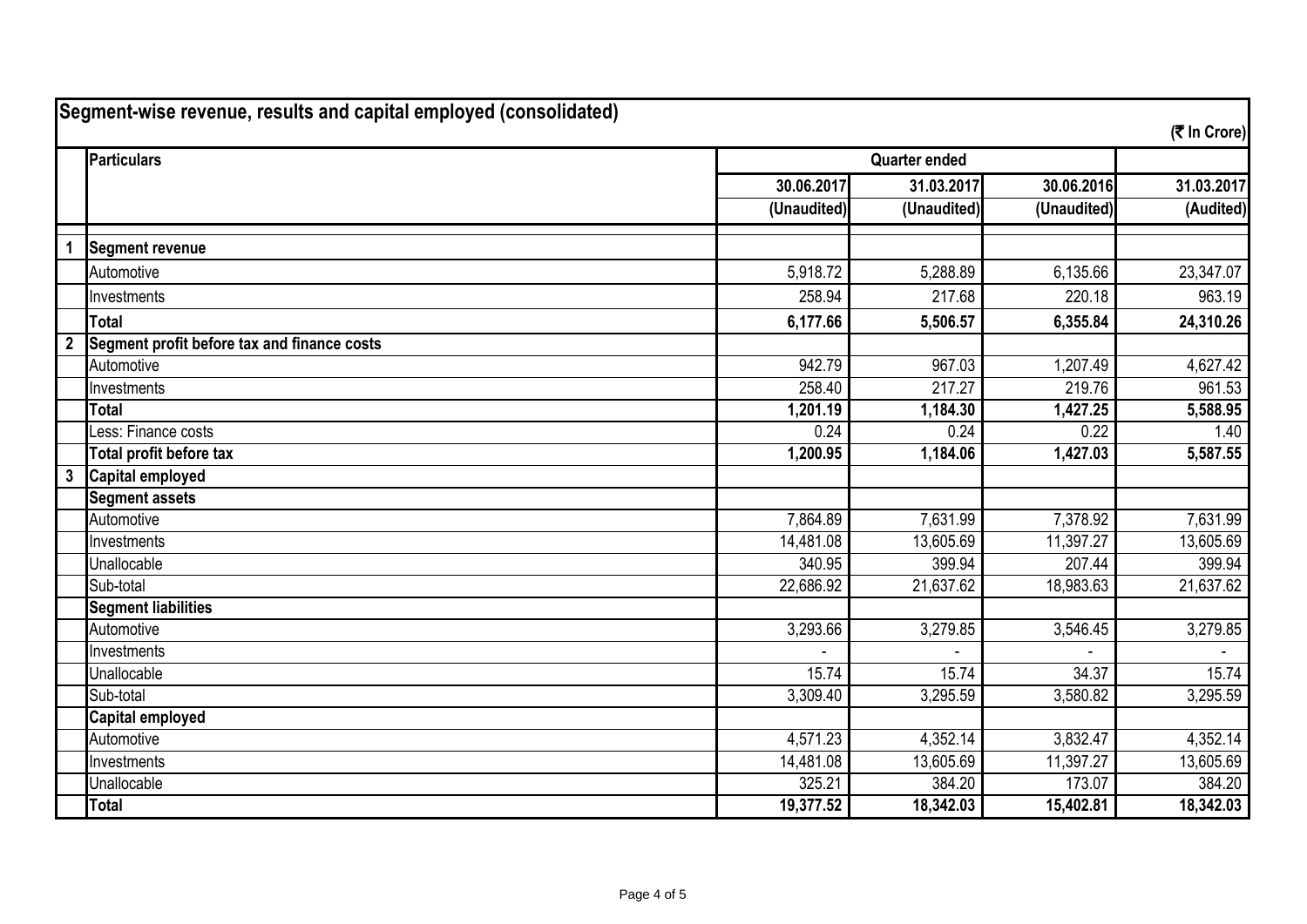|                | Segment-wise revenue, results and capital employed (consolidated) |                                   |                        |             | (そ In Crore) |
|----------------|-------------------------------------------------------------------|-----------------------------------|------------------------|-------------|--------------|
|                | <b>Particulars</b>                                                | <b>Quarter ended</b>              |                        |             |              |
|                |                                                                   | 30.06.2017                        | 31.03.2017             | 30.06.2016  | 31.03.2017   |
|                |                                                                   | $\overline{(\mathsf{Unaudited})}$ | (Unaudited)            | (Unaudited) | (Audited)    |
| $\mathbf 1$    | <b>Segment revenue</b>                                            |                                   |                        |             |              |
|                | Automotive                                                        | 5,918.72                          | 5,288.89               | 6,135.66    | 23,347.07    |
|                | Investments                                                       | 258.94                            | 217.68                 | 220.18      | 963.19       |
|                | <b>Total</b>                                                      | 6,177.66                          | 5,506.57               | 6,355.84    | 24,310.26    |
| $\overline{2}$ | Segment profit before tax and finance costs                       |                                   |                        |             |              |
|                | Automotive                                                        | 942.79                            | 967.03                 | 1,207.49    | 4,627.42     |
|                | Investments                                                       | 258.40                            | 217.27                 | 219.76      | 961.53       |
|                | <b>Total</b>                                                      | 1,201.19                          | 1,184.30               | 1,427.25    | 5,588.95     |
|                | Less: Finance costs                                               | 0.24                              | 0.24                   | 0.22        | 1.40         |
|                | Total profit before tax                                           | 1,200.95                          | 1,184.06               | 1,427.03    | 5,587.55     |
| $\mathbf{3}$   | Capital employed                                                  |                                   |                        |             |              |
|                | <b>Segment assets</b>                                             |                                   |                        |             |              |
|                | Automotive                                                        | 7,864.89                          | 7,631.99               | 7,378.92    | 7,631.99     |
|                | Investments                                                       | 14,481.08                         | 13,605.69              | 11,397.27   | 13,605.69    |
|                | Unallocable                                                       | 340.95                            | 399.94                 | 207.44      | 399.94       |
|                | Sub-total                                                         | 22,686.92                         | $\overline{21},637.62$ | 18,983.63   | 21,637.62    |
|                | <b>Segment liabilities</b>                                        |                                   |                        |             |              |
|                | Automotive                                                        | 3,293.66                          | 3,279.85               | 3,546.45    | 3,279.85     |
|                | Investments                                                       |                                   |                        |             |              |
|                | Unallocable                                                       | 15.74                             | 15.74                  | 34.37       | 15.74        |
|                | Sub-total                                                         | 3,309.40                          | 3,295.59               | 3,580.82    | 3,295.59     |
|                | <b>Capital employed</b>                                           |                                   |                        |             |              |
|                | Automotive                                                        | 4,571.23                          | 4,352.14               | 3,832.47    | 4,352.14     |
|                | Investments                                                       | 14,481.08                         | 13,605.69              | 11,397.27   | 13,605.69    |
|                | Unallocable                                                       | 325.21                            | 384.20                 | 173.07      | 384.20       |
|                | <b>Total</b>                                                      | 19,377.52                         | 18,342.03              | 15,402.81   | 18,342.03    |